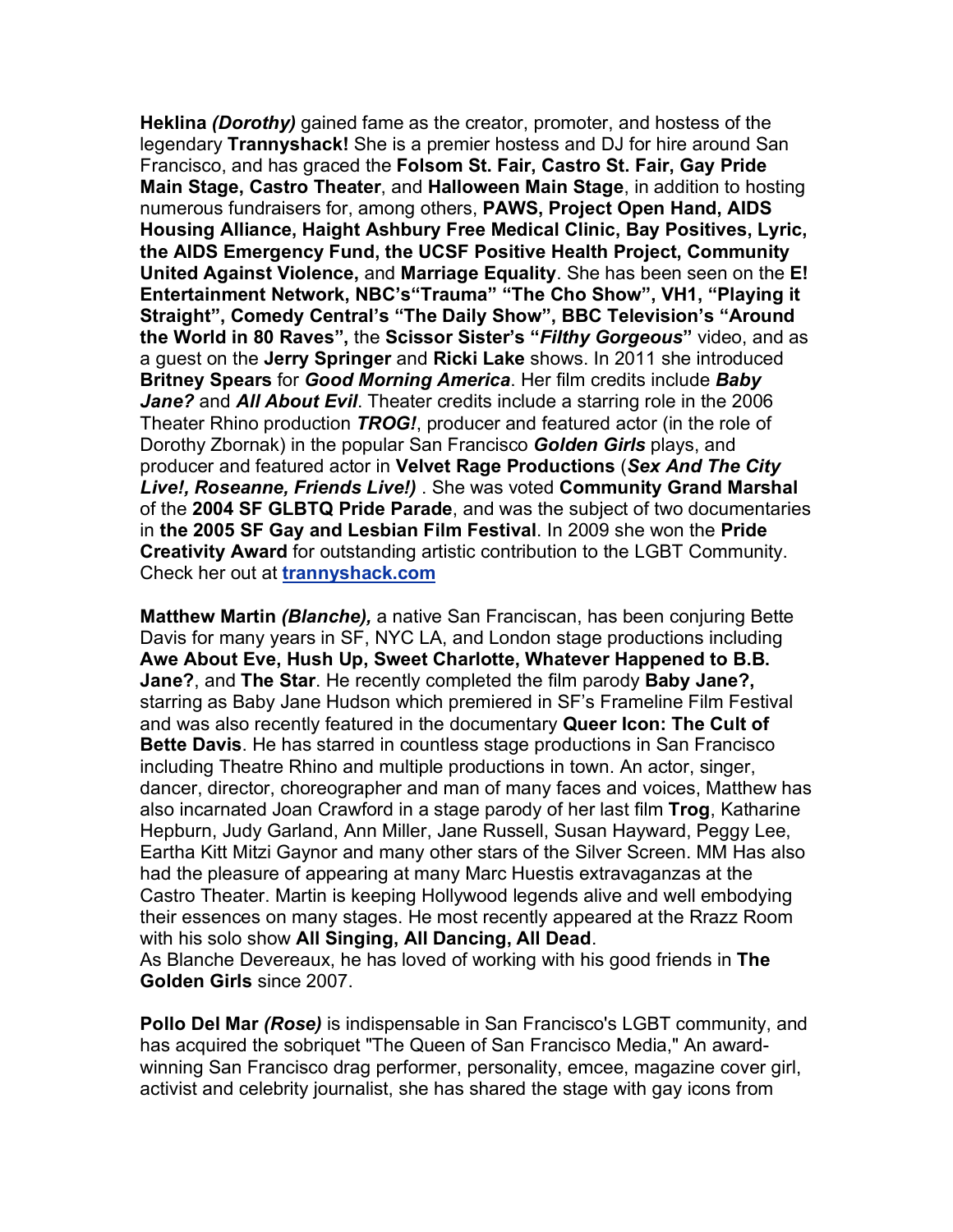**Heklina** *(Dorothy)* gained fame as the creator, promoter, and hostess of the legendary **Trannyshack!** She is a premier hostess and DJ for hire around San Francisco, and has graced the **Folsom St. Fair, Castro St. Fair, Gay Pride Main Stage, Castro Theater**, and **Halloween Main Stage**, in addition to hosting numerous fundraisers for, among others, **PAWS, Project Open Hand, AIDS Housing Alliance, Haight Ashbury Free Medical Clinic, Bay Positives, Lyric, the AIDS Emergency Fund, the UCSF Positive Health Project, Community United Against Violence,** and **Marriage Equality**. She has been seen on the **E! Entertainment Network, NBC's"Trauma" "The Cho Show", VH1, "Playing it Straight", Comedy Central's "The Daily Show", BBC Television's "Around the World in 80 Raves",** the **Scissor Sister's "***Filthy Gorgeous***"** video, and as a guest on the **Jerry Springer** and **Ricki Lake** shows. In 2011 she introduced **Britney Spears** for *Good Morning America*. Her film credits include *Baby Jane?* and *All About Evil*. Theater credits include a starring role in the 2006 Theater Rhino production *TROG!*, producer and featured actor (in the role of Dorothy Zbornak) in the popular San Francisco *Golden Girls* plays, and producer and featured actor in **Velvet Rage Productions** (*Sex And The City Live!, Roseanne, Friends Live!)* . She was voted **Community Grand Marshal** of the **2004 SF GLBTQ Pride Parade**, and was the subject of two documentaries in **the 2005 SF Gay and Lesbian Film Festival**. In 2009 she won the **Pride Creativity Award** for outstanding artistic contribution to the LGBT Community. Check her out at **trannyshack.com**

**Matthew Martin** *(Blanche),* a native San Franciscan, has been conjuring Bette Davis for many years in SF, NYC LA, and London stage productions including **Awe About Eve, Hush Up, Sweet Charlotte, Whatever Happened to B.B. Jane?**, and **The Star**. He recently completed the film parody **Baby Jane?,** starring as Baby Jane Hudson which premiered in SF's Frameline Film Festival and was also recently featured in the documentary **Queer Icon: The Cult of Bette Davis**. He has starred in countless stage productions in San Francisco including Theatre Rhino and multiple productions in town. An actor, singer, dancer, director, choreographer and man of many faces and voices, Matthew has also incarnated Joan Crawford in a stage parody of her last film **Trog**, Katharine Hepburn, Judy Garland, Ann Miller, Jane Russell, Susan Hayward, Peggy Lee, Eartha Kitt Mitzi Gaynor and many other stars of the Silver Screen. MM Has also had the pleasure of appearing at many Marc Huestis extravaganzas at the Castro Theater. Martin is keeping Hollywood legends alive and well embodying their essences on many stages. He most recently appeared at the Rrazz Room with his solo show **All Singing, All Dancing, All Dead**. As Blanche Devereaux, he has loved of working with his good friends in **The Golden Girls** since 2007.

**Pollo Del Mar** *(Rose)* is indispensable in San Francisco's LGBT community, and has acquired the sobriquet "The Queen of San Francisco Media," An awardwinning San Francisco drag performer, personality, emcee, magazine cover girl, activist and celebrity journalist, she has shared the stage with gay icons from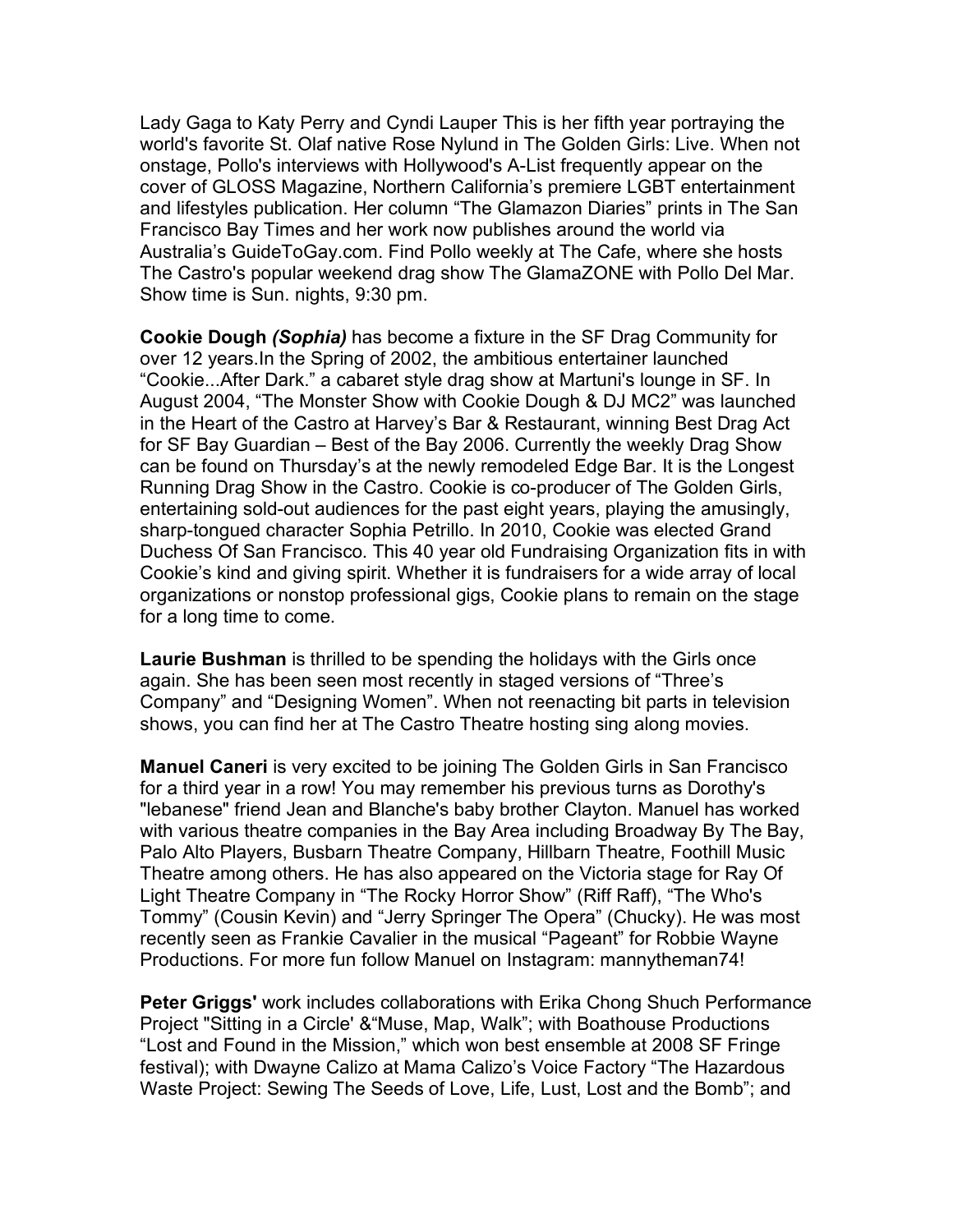Lady Gaga to Katy Perry and Cyndi Lauper This is her fifth year portraying the world's favorite St. Olaf native Rose Nylund in The Golden Girls: Live. When not onstage, Pollo's interviews with Hollywood's A-List frequently appear on the cover of GLOSS Magazine, Northern California's premiere LGBT entertainment and lifestyles publication. Her column "The Glamazon Diaries" prints in The San Francisco Bay Times and her work now publishes around the world via Australia's GuideToGay.com. Find Pollo weekly at The Cafe, where she hosts The Castro's popular weekend drag show The GlamaZONE with Pollo Del Mar. Show time is Sun. nights, 9:30 pm.

**Cookie Dough** *(Sophia)* has become a fixture in the SF Drag Community for over 12 years.In the Spring of 2002, the ambitious entertainer launched "Cookie...After Dark." a cabaret style drag show at Martuni's lounge in SF. In August 2004, "The Monster Show with Cookie Dough & DJ MC2" was launched in the Heart of the Castro at Harvey's Bar & Restaurant, winning Best Drag Act for SF Bay Guardian – Best of the Bay 2006. Currently the weekly Drag Show can be found on Thursday's at the newly remodeled Edge Bar. It is the Longest Running Drag Show in the Castro. Cookie is co-producer of The Golden Girls, entertaining sold-out audiences for the past eight years, playing the amusingly, sharp-tongued character Sophia Petrillo. In 2010, Cookie was elected Grand Duchess Of San Francisco. This 40 year old Fundraising Organization fits in with Cookie's kind and giving spirit. Whether it is fundraisers for a wide array of local organizations or nonstop professional gigs, Cookie plans to remain on the stage for a long time to come.

**Laurie Bushman** is thrilled to be spending the holidays with the Girls once again. She has been seen most recently in staged versions of "Three's Company" and "Designing Women". When not reenacting bit parts in television shows, you can find her at The Castro Theatre hosting sing along movies.

**Manuel Caneri** is very excited to be joining The Golden Girls in San Francisco for a third year in a row! You may remember his previous turns as Dorothy's "lebanese" friend Jean and Blanche's baby brother Clayton. Manuel has worked with various theatre companies in the Bay Area including Broadway By The Bay, Palo Alto Players, Busbarn Theatre Company, Hillbarn Theatre, Foothill Music Theatre among others. He has also appeared on the Victoria stage for Ray Of Light Theatre Company in "The Rocky Horror Show" (Riff Raff), "The Who's Tommy" (Cousin Kevin) and "Jerry Springer The Opera" (Chucky). He was most recently seen as Frankie Cavalier in the musical "Pageant" for Robbie Wayne Productions. For more fun follow Manuel on Instagram: mannytheman74!

**Peter Griggs'** work includes collaborations with Erika Chong Shuch Performance Project "Sitting in a Circle' &"Muse, Map, Walk"; with Boathouse Productions "Lost and Found in the Mission," which won best ensemble at 2008 SF Fringe festival); with Dwayne Calizo at Mama Calizo's Voice Factory "The Hazardous Waste Project: Sewing The Seeds of Love, Life, Lust, Lost and the Bomb"; and